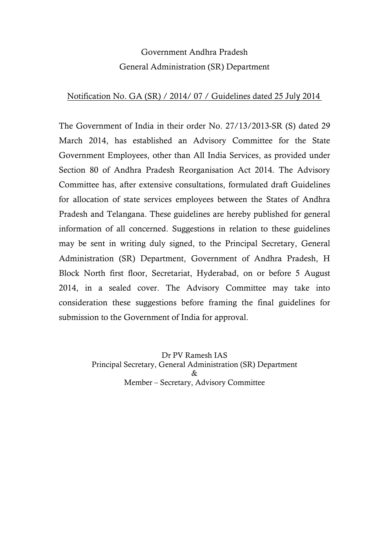# Government Andhra Pradesh General Administration (SR) Department

### Notification No. GA (SR) / 2014/ 07 / Guidelines dated 25 July 2014

The Government of India in their order No. 27/13/2013-SR (S) dated 29 March 2014, has established an Advisory Committee for the State Government Employees, other than All India Services, as provided under Section 80 of Andhra Pradesh Reorganisation Act 2014. The Advisory Committee has, after extensive consultations, formulated draft Guidelines for allocation of state services employees between the States of Andhra Pradesh and Telangana. These guidelines are hereby published for general information of all concerned. Suggestions in relation to these guidelines may be sent in writing duly signed, to the Principal Secretary, General Administration (SR) Department, Government of Andhra Pradesh, H Block North first floor, Secretariat, Hyderabad, on or before 5 August 2014, in a sealed cover. The Advisory Committee may take into consideration these suggestions before framing the final guidelines for submission to the Government of India for approval.

> Dr PV Ramesh IAS Principal Secretary, General Administration (SR) Department & Member – Secretary, Advisory Committee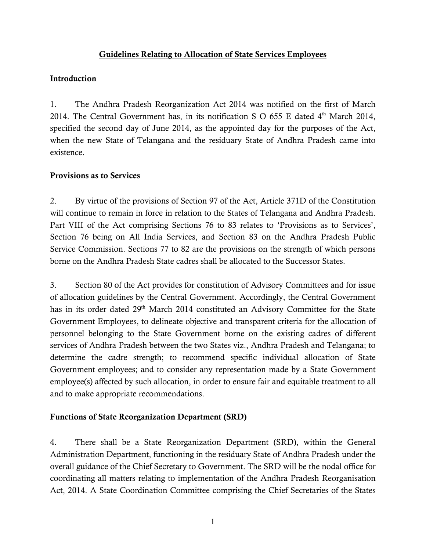### Guidelines Relating to Allocation of State Services Employees

### Introduction

1. The Andhra Pradesh Reorganization Act 2014 was notified on the first of March 2014. The Central Government has, in its notification S O 655 E dated  $4<sup>th</sup>$  March 2014. specified the second day of June 2014, as the appointed day for the purposes of the Act, when the new State of Telangana and the residuary State of Andhra Pradesh came into existence.

### Provisions as to Services

2. By virtue of the provisions of Section 97 of the Act, Article 371D of the Constitution will continue to remain in force in relation to the States of Telangana and Andhra Pradesh. Part VIII of the Act comprising Sections 76 to 83 relates to 'Provisions as to Services', Section 76 being on All India Services, and Section 83 on the Andhra Pradesh Public Service Commission. Sections 77 to 82 are the provisions on the strength of which persons borne on the Andhra Pradesh State cadres shall be allocated to the Successor States.

3. Section 80 of the Act provides for constitution of Advisory Committees and for issue of allocation guidelines by the Central Government. Accordingly, the Central Government has in its order dated 29<sup>th</sup> March 2014 constituted an Advisory Committee for the State Government Employees, to delineate objective and transparent criteria for the allocation of personnel belonging to the State Government borne on the existing cadres of different services of Andhra Pradesh between the two States viz., Andhra Pradesh and Telangana; to determine the cadre strength; to recommend specific individual allocation of State Government employees; and to consider any representation made by a State Government employee(s) affected by such allocation, in order to ensure fair and equitable treatment to all and to make appropriate recommendations.

### Functions of State Reorganization Department (SRD)

4. There shall be a State Reorganization Department (SRD), within the General Administration Department, functioning in the residuary State of Andhra Pradesh under the overall guidance of the Chief Secretary to Government. The SRD will be the nodal office for coordinating all matters relating to implementation of the Andhra Pradesh Reorganisation Act, 2014. A State Coordination Committee comprising the Chief Secretaries of the States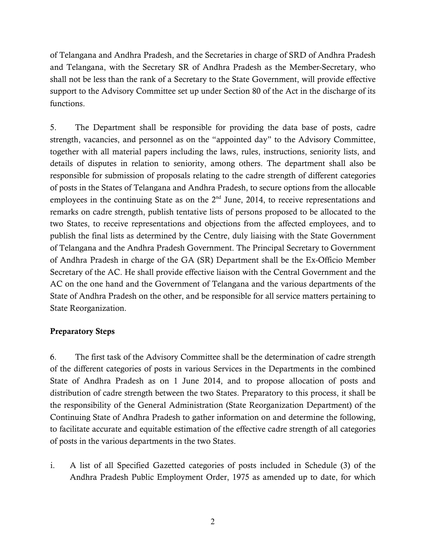of Telangana and Andhra Pradesh, and the Secretaries in charge of SRD of Andhra Pradesh and Telangana, with the Secretary SR of Andhra Pradesh as the Member-Secretary, who shall not be less than the rank of a Secretary to the State Government, will provide effective support to the Advisory Committee set up under Section 80 of the Act in the discharge of its functions.

5. The Department shall be responsible for providing the data base of posts, cadre strength, vacancies, and personnel as on the "appointed day" to the Advisory Committee, together with all material papers including the laws, rules, instructions, seniority lists, and details of disputes in relation to seniority, among others. The department shall also be responsible for submission of proposals relating to the cadre strength of different categories of posts in the States of Telangana and Andhra Pradesh, to secure options from the allocable employees in the continuing State as on the  $2<sup>nd</sup>$  June, 2014, to receive representations and remarks on cadre strength, publish tentative lists of persons proposed to be allocated to the two States, to receive representations and objections from the affected employees, and to publish the final lists as determined by the Centre, duly liaising with the State Government of Telangana and the Andhra Pradesh Government. The Principal Secretary to Government of Andhra Pradesh in charge of the GA (SR) Department shall be the Ex-Officio Member Secretary of the AC. He shall provide effective liaison with the Central Government and the AC on the one hand and the Government of Telangana and the various departments of the State of Andhra Pradesh on the other, and be responsible for all service matters pertaining to State Reorganization.

### Preparatory Steps

6. The first task of the Advisory Committee shall be the determination of cadre strength of the different categories of posts in various Services in the Departments in the combined State of Andhra Pradesh as on 1 June 2014, and to propose allocation of posts and distribution of cadre strength between the two States. Preparatory to this process, it shall be the responsibility of the General Administration (State Reorganization Department) of the Continuing State of Andhra Pradesh to gather information on and determine the following, to facilitate accurate and equitable estimation of the effective cadre strength of all categories of posts in the various departments in the two States.

i. A list of all Specified Gazetted categories of posts included in Schedule (3) of the Andhra Pradesh Public Employment Order, 1975 as amended up to date, for which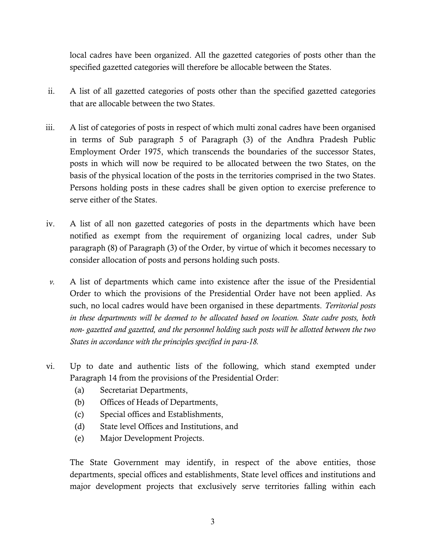local cadres have been organized. All the gazetted categories of posts other than the specified gazetted categories will therefore be allocable between the States.

- ii. A list of all gazetted categories of posts other than the specified gazetted categories that are allocable between the two States.
- iii. A list of categories of posts in respect of which multi zonal cadres have been organised in terms of Sub paragraph 5 of Paragraph (3) of the Andhra Pradesh Public Employment Order 1975, which transcends the boundaries of the successor States, posts in which will now be required to be allocated between the two States, on the basis of the physical location of the posts in the territories comprised in the two States. Persons holding posts in these cadres shall be given option to exercise preference to serve either of the States.
- iv. A list of all non gazetted categories of posts in the departments which have been notified as exempt from the requirement of organizing local cadres, under Sub paragraph (8) of Paragraph (3) of the Order, by virtue of which it becomes necessary to consider allocation of posts and persons holding such posts.
- *v.* A list of departments which came into existence after the issue of the Presidential Order to which the provisions of the Presidential Order have not been applied. As such, no local cadres would have been organised in these departments. *Territorial posts in these departments will be deemed to be allocated based on location. State cadre posts, both non- gazetted and gazetted, and the personnel holding such posts will be allotted between the two States in accordance with the principles specified in para-18.*
- vi. Up to date and authentic lists of the following, which stand exempted under Paragraph 14 from the provisions of the Presidential Order:
	- (a) Secretariat Departments,
	- (b) Offices of Heads of Departments,
	- (c) Special offices and Establishments,
	- (d) State level Offices and Institutions, and
	- (e) Major Development Projects.

The State Government may identify, in respect of the above entities, those departments, special offices and establishments, State level offices and institutions and major development projects that exclusively serve territories falling within each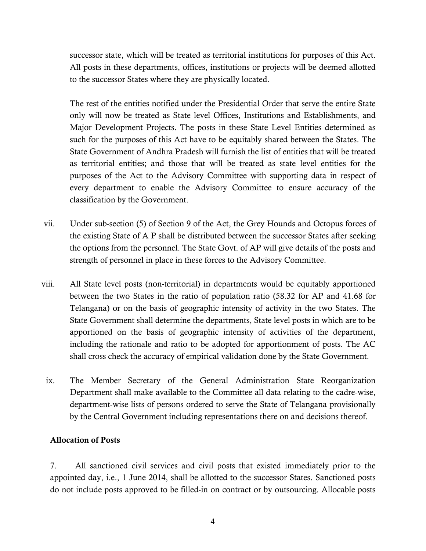successor state, which will be treated as territorial institutions for purposes of this Act. All posts in these departments, offices, institutions or projects will be deemed allotted to the successor States where they are physically located.

The rest of the entities notified under the Presidential Order that serve the entire State only will now be treated as State level Offices, Institutions and Establishments, and Major Development Projects. The posts in these State Level Entities determined as such for the purposes of this Act have to be equitably shared between the States. The State Government of Andhra Pradesh will furnish the list of entities that will be treated as territorial entities; and those that will be treated as state level entities for the purposes of the Act to the Advisory Committee with supporting data in respect of every department to enable the Advisory Committee to ensure accuracy of the classification by the Government.

- vii. Under sub-section (5) of Section 9 of the Act, the Grey Hounds and Octopus forces of the existing State of A P shall be distributed between the successor States after seeking the options from the personnel. The State Govt. of AP will give details of the posts and strength of personnel in place in these forces to the Advisory Committee.
- viii. All State level posts (non-territorial) in departments would be equitably apportioned between the two States in the ratio of population ratio (58.32 for AP and 41.68 for Telangana) or on the basis of geographic intensity of activity in the two States. The State Government shall determine the departments, State level posts in which are to be apportioned on the basis of geographic intensity of activities of the department, including the rationale and ratio to be adopted for apportionment of posts. The AC shall cross check the accuracy of empirical validation done by the State Government.
- ix. The Member Secretary of the General Administration State Reorganization Department shall make available to the Committee all data relating to the cadre-wise, department-wise lists of persons ordered to serve the State of Telangana provisionally by the Central Government including representations there on and decisions thereof.

### Allocation of Posts

7. All sanctioned civil services and civil posts that existed immediately prior to the appointed day, i.e., 1 June 2014, shall be allotted to the successor States. Sanctioned posts do not include posts approved to be filled-in on contract or by outsourcing. Allocable posts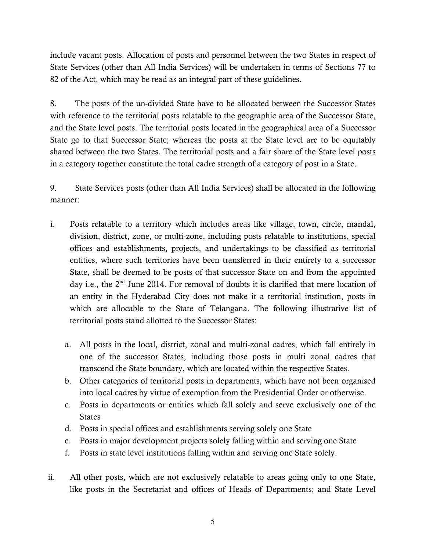include vacant posts. Allocation of posts and personnel between the two States in respect of State Services (other than All India Services) will be undertaken in terms of Sections 77 to 82 of the Act, which may be read as an integral part of these guidelines.

8. The posts of the un-divided State have to be allocated between the Successor States with reference to the territorial posts relatable to the geographic area of the Successor State, and the State level posts. The territorial posts located in the geographical area of a Successor State go to that Successor State; whereas the posts at the State level are to be equitably shared between the two States. The territorial posts and a fair share of the State level posts in a category together constitute the total cadre strength of a category of post in a State.

9. State Services posts (other than All India Services) shall be allocated in the following manner:

- i. Posts relatable to a territory which includes areas like village, town, circle, mandal, division, district, zone, or multi-zone, including posts relatable to institutions, special offices and establishments, projects, and undertakings to be classified as territorial entities, where such territories have been transferred in their entirety to a successor State, shall be deemed to be posts of that successor State on and from the appointed day i.e., the 2<sup>nd</sup> June 2014. For removal of doubts it is clarified that mere location of an entity in the Hyderabad City does not make it a territorial institution, posts in which are allocable to the State of Telangana. The following illustrative list of territorial posts stand allotted to the Successor States:
	- a. All posts in the local, district, zonal and multi-zonal cadres, which fall entirely in one of the successor States, including those posts in multi zonal cadres that transcend the State boundary, which are located within the respective States.
	- b. Other categories of territorial posts in departments, which have not been organised into local cadres by virtue of exemption from the Presidential Order or otherwise.
	- c. Posts in departments or entities which fall solely and serve exclusively one of the States
	- d. Posts in special offices and establishments serving solely one State
	- e. Posts in major development projects solely falling within and serving one State
	- f. Posts in state level institutions falling within and serving one State solely.
- ii. All other posts, which are not exclusively relatable to areas going only to one State, like posts in the Secretariat and offices of Heads of Departments; and State Level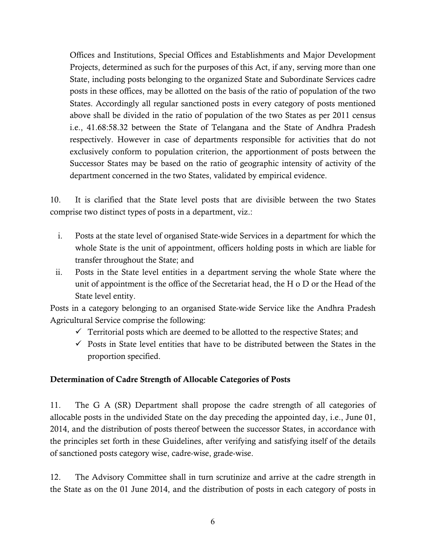Offices and Institutions, Special Offices and Establishments and Major Development Projects, determined as such for the purposes of this Act, if any, serving more than one State, including posts belonging to the organized State and Subordinate Services cadre posts in these offices, may be allotted on the basis of the ratio of population of the two States. Accordingly all regular sanctioned posts in every category of posts mentioned above shall be divided in the ratio of population of the two States as per 2011 census i.e., 41.68:58.32 between the State of Telangana and the State of Andhra Pradesh respectively. However in case of departments responsible for activities that do not exclusively conform to population criterion, the apportionment of posts between the Successor States may be based on the ratio of geographic intensity of activity of the department concerned in the two States, validated by empirical evidence.

10. It is clarified that the State level posts that are divisible between the two States comprise two distinct types of posts in a department, viz.:

- i. Posts at the state level of organised State-wide Services in a department for which the whole State is the unit of appointment, officers holding posts in which are liable for transfer throughout the State; and
- ii. Posts in the State level entities in a department serving the whole State where the unit of appointment is the office of the Secretariat head, the H o D or the Head of the State level entity.

Posts in a category belonging to an organised State-wide Service like the Andhra Pradesh Agricultural Service comprise the following:

- $\checkmark$  Territorial posts which are deemed to be allotted to the respective States; and
- $\checkmark$  Posts in State level entities that have to be distributed between the States in the proportion specified.

### Determination of Cadre Strength of Allocable Categories of Posts

11. The G A (SR) Department shall propose the cadre strength of all categories of allocable posts in the undivided State on the day preceding the appointed day, i.e., June 01, 2014, and the distribution of posts thereof between the successor States, in accordance with the principles set forth in these Guidelines, after verifying and satisfying itself of the details of sanctioned posts category wise, cadre-wise, grade-wise.

12. The Advisory Committee shall in turn scrutinize and arrive at the cadre strength in the State as on the 01 June 2014, and the distribution of posts in each category of posts in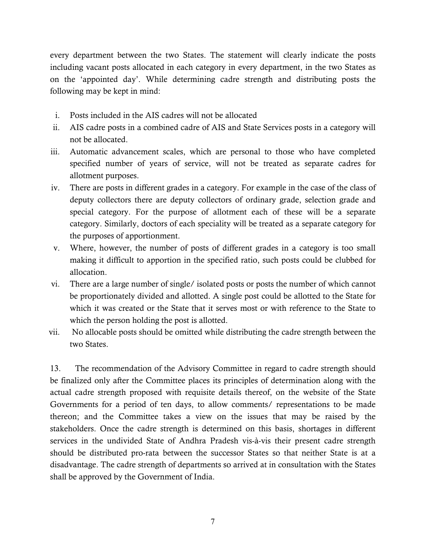every department between the two States. The statement will clearly indicate the posts including vacant posts allocated in each category in every department, in the two States as on the 'appointed day'. While determining cadre strength and distributing posts the following may be kept in mind:

- i. Posts included in the AIS cadres will not be allocated
- ii. AIS cadre posts in a combined cadre of AIS and State Services posts in a category will not be allocated.
- iii. Automatic advancement scales, which are personal to those who have completed specified number of years of service, will not be treated as separate cadres for allotment purposes.
- iv. There are posts in different grades in a category. For example in the case of the class of deputy collectors there are deputy collectors of ordinary grade, selection grade and special category. For the purpose of allotment each of these will be a separate category. Similarly, doctors of each speciality will be treated as a separate category for the purposes of apportionment.
- v. Where, however, the number of posts of different grades in a category is too small making it difficult to apportion in the specified ratio, such posts could be clubbed for allocation.
- vi. There are a large number of single/ isolated posts or posts the number of which cannot be proportionately divided and allotted. A single post could be allotted to the State for which it was created or the State that it serves most or with reference to the State to which the person holding the post is allotted.
- vii. No allocable posts should be omitted while distributing the cadre strength between the two States.

13. The recommendation of the Advisory Committee in regard to cadre strength should be finalized only after the Committee places its principles of determination along with the actual cadre strength proposed with requisite details thereof, on the website of the State Governments for a period of ten days, to allow comments/ representations to be made thereon; and the Committee takes a view on the issues that may be raised by the stakeholders. Once the cadre strength is determined on this basis, shortages in different services in the undivided State of Andhra Pradesh vis-à-vis their present cadre strength should be distributed pro-rata between the successor States so that neither State is at a disadvantage. The cadre strength of departments so arrived at in consultation with the States shall be approved by the Government of India.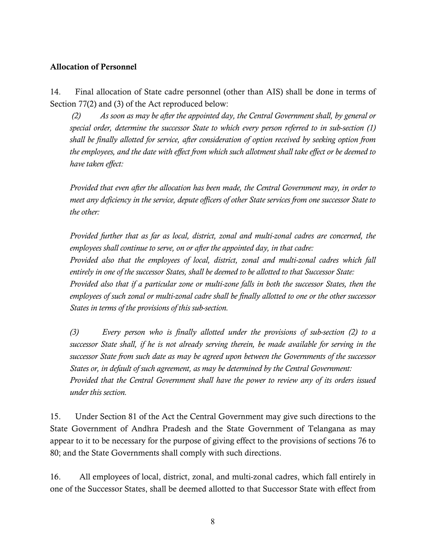### Allocation of Personnel

14. Final allocation of State cadre personnel (other than AIS) shall be done in terms of Section 77(2) and (3) of the Act reproduced below:

*(2) As soon as may be after the appointed day, the Central Government shall, by general or special order, determine the successor State to which every person referred to in sub-section (1) shall be finally allotted for service, after consideration of option received by seeking option from the employees, and the date with effect from which such allotment shall take effect or be deemed to have taken effect:*

*Provided that even after the allocation has been made, the Central Government may, in order to meet any deficiency in the service, depute officers of other State services from one successor State to the other:*

*Provided further that as far as local, district, zonal and multi-zonal cadres are concerned, the employees shall continue to serve, on or after the appointed day, in that cadre:*

*Provided also that the employees of local, district, zonal and multi-zonal cadres which fall entirely in one of the successor States, shall be deemed to be allotted to that Successor State:*

*Provided also that if a particular zone or multi-zone falls in both the successor States, then the employees of such zonal or multi-zonal cadre shall be finally allotted to one or the other successor States in terms of the provisions of this sub-section.*

*(3) Every person who is finally allotted under the provisions of sub-section (2) to a successor State shall, if he is not already serving therein, be made available for serving in the successor State from such date as may be agreed upon between the Governments of the successor States or, in default of such agreement, as may be determined by the Central Government: Provided that the Central Government shall have the power to review any of its orders issued under this section.*

15. Under Section 81 of the Act the Central Government may give such directions to the State Government of Andhra Pradesh and the State Government of Telangana as may appear to it to be necessary for the purpose of giving effect to the provisions of sections 76 to 80; and the State Governments shall comply with such directions.

16. All employees of local, district, zonal, and multi-zonal cadres, which fall entirely in one of the Successor States, shall be deemed allotted to that Successor State with effect from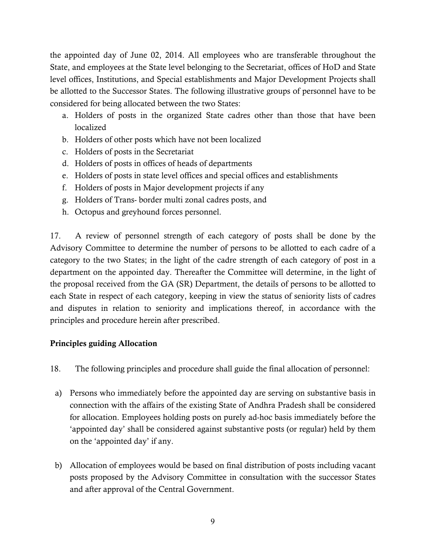the appointed day of June 02, 2014. All employees who are transferable throughout the State, and employees at the State level belonging to the Secretariat, offices of HoD and State level offices, Institutions, and Special establishments and Major Development Projects shall be allotted to the Successor States. The following illustrative groups of personnel have to be considered for being allocated between the two States:

- a. Holders of posts in the organized State cadres other than those that have been localized
- b. Holders of other posts which have not been localized
- c. Holders of posts in the Secretariat
- d. Holders of posts in offices of heads of departments
- e. Holders of posts in state level offices and special offices and establishments
- f. Holders of posts in Major development projects if any
- g. Holders of Trans- border multi zonal cadres posts, and
- h. Octopus and greyhound forces personnel.

17. A review of personnel strength of each category of posts shall be done by the Advisory Committee to determine the number of persons to be allotted to each cadre of a category to the two States; in the light of the cadre strength of each category of post in a department on the appointed day. Thereafter the Committee will determine, in the light of the proposal received from the GA (SR) Department, the details of persons to be allotted to each State in respect of each category, keeping in view the status of seniority lists of cadres and disputes in relation to seniority and implications thereof, in accordance with the principles and procedure herein after prescribed.

### Principles guiding Allocation

- 18. The following principles and procedure shall guide the final allocation of personnel:
	- a) Persons who immediately before the appointed day are serving on substantive basis in connection with the affairs of the existing State of Andhra Pradesh shall be considered for allocation. Employees holding posts on purely ad-hoc basis immediately before the 'appointed day' shall be considered against substantive posts (or regular) held by them on the 'appointed day' if any.
- b) Allocation of employees would be based on final distribution of posts including vacant posts proposed by the Advisory Committee in consultation with the successor States and after approval of the Central Government.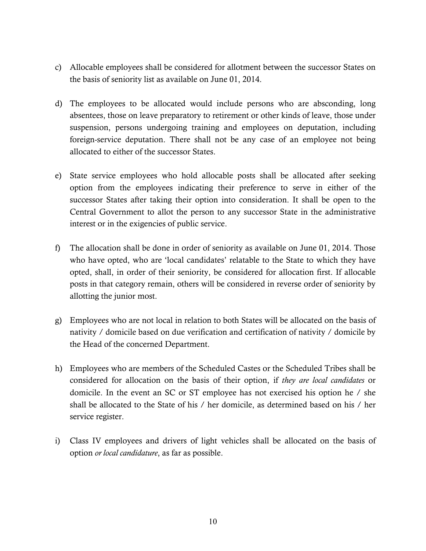- c) Allocable employees shall be considered for allotment between the successor States on the basis of seniority list as available on June 01, 2014.
- d) The employees to be allocated would include persons who are absconding, long absentees, those on leave preparatory to retirement or other kinds of leave, those under suspension, persons undergoing training and employees on deputation, including foreign-service deputation. There shall not be any case of an employee not being allocated to either of the successor States.
- e) State service employees who hold allocable posts shall be allocated after seeking option from the employees indicating their preference to serve in either of the successor States after taking their option into consideration. It shall be open to the Central Government to allot the person to any successor State in the administrative interest or in the exigencies of public service.
- f) The allocation shall be done in order of seniority as available on June 01, 2014. Those who have opted, who are 'local candidates' relatable to the State to which they have opted, shall, in order of their seniority, be considered for allocation first. If allocable posts in that category remain, others will be considered in reverse order of seniority by allotting the junior most.
- g) Employees who are not local in relation to both States will be allocated on the basis of nativity / domicile based on due verification and certification of nativity / domicile by the Head of the concerned Department.
- h) Employees who are members of the Scheduled Castes or the Scheduled Tribes shall be considered for allocation on the basis of their option, if *they are local candidates* or domicile. In the event an SC or ST employee has not exercised his option he / she shall be allocated to the State of his / her domicile, as determined based on his / her service register.
- i) Class IV employees and drivers of light vehicles shall be allocated on the basis of option *or local candidature*, as far as possible.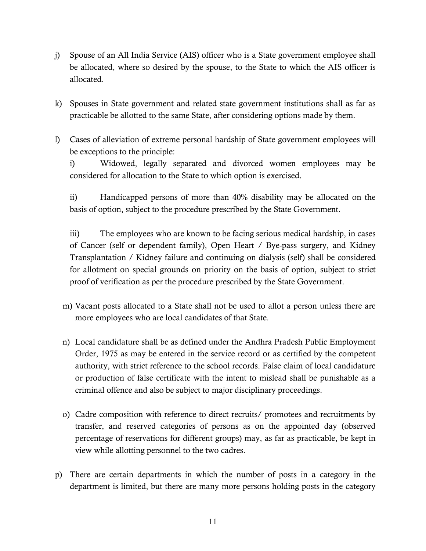- j) Spouse of an All India Service (AIS) officer who is a State government employee shall be allocated, where so desired by the spouse, to the State to which the AIS officer is allocated.
- k) Spouses in State government and related state government institutions shall as far as practicable be allotted to the same State, after considering options made by them.
- l) Cases of alleviation of extreme personal hardship of State government employees will be exceptions to the principle:

i) Widowed, legally separated and divorced women employees may be considered for allocation to the State to which option is exercised.

ii) Handicapped persons of more than 40% disability may be allocated on the basis of option, subject to the procedure prescribed by the State Government.

iii) The employees who are known to be facing serious medical hardship, in cases of Cancer (self or dependent family), Open Heart / Bye-pass surgery, and Kidney Transplantation / Kidney failure and continuing on dialysis (self) shall be considered for allotment on special grounds on priority on the basis of option, subject to strict proof of verification as per the procedure prescribed by the State Government.

- m) Vacant posts allocated to a State shall not be used to allot a person unless there are more employees who are local candidates of that State.
- n) Local candidature shall be as defined under the Andhra Pradesh Public Employment Order, 1975 as may be entered in the service record or as certified by the competent authority, with strict reference to the school records. False claim of local candidature or production of false certificate with the intent to mislead shall be punishable as a criminal offence and also be subject to major disciplinary proceedings.
- o) Cadre composition with reference to direct recruits/ promotees and recruitments by transfer, and reserved categories of persons as on the appointed day (observed percentage of reservations for different groups) may, as far as practicable, be kept in view while allotting personnel to the two cadres.
- p) There are certain departments in which the number of posts in a category in the department is limited, but there are many more persons holding posts in the category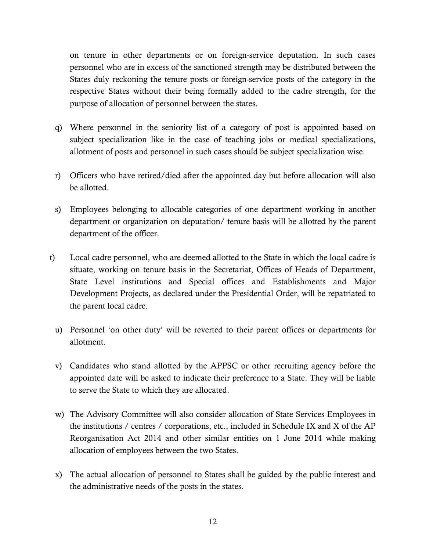on tenure in other departments or on foreign-service deputation. In such cases personnel who are in excess of the sanctioned strength may be distributed between the States duly reckoning the tenure posts or foreign-service posts of the category in the respective States without their being formally added to the cadre strength, for the purpose of allocation of personnel between the states.

- q) Where personnel in the seniority list of a category of post is appointed based on subject specialization like in the case of teaching jobs or medical specializations, allotment of posts and personnel in such cases should be subject specialization wise.
- r) Officers who have retired/died after the appointed day but before allocation will also be allotted.
- s) Employees belonging to allocable categories of one department working in another department or organization on deputation/ tenure basis will be allotted by the parent department of the officer.
- t) Local cadre personnel, who are deemed allotted to the State in which the local cadre is situate, working on tenure basis in the Secretariat, Offices of Heads of Department, State Level institutions and Special offices and Establishments and Major Development Projects, as declared under the Presidential Order, will be repatriated to the parent local cadre.
	- u) Personnel 'on other duty' will be reverted to their parent offices or departments for allotment.
	- v) Candidates who stand allotted by the APPSC or other recruiting agency before the appointed date will be asked to indicate their preference to a State. They will be liable to serve the State to which they are allocated.
	- w) The Advisory Committee will also consider allocation of State Services Employees in the institutions / centres / corporations, etc., included in Schedule IX and X of the AP Reorganisation Act 2014 and other similar entities on 1 June 2014 while making allocation of employees between the two States.
	- x) The actual allocation of personnel to States shall be guided by the public interest and the administrative needs of the posts in the states.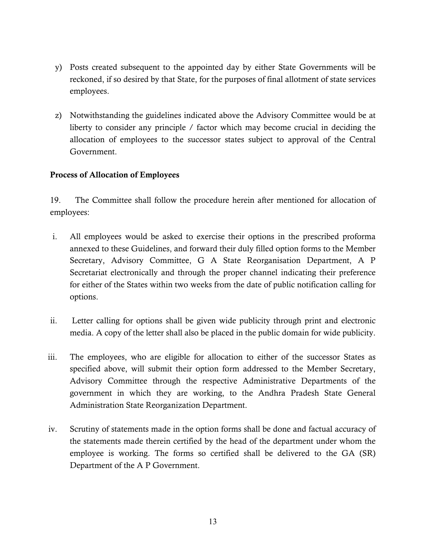- y) Posts created subsequent to the appointed day by either State Governments will be reckoned, if so desired by that State, for the purposes of final allotment of state services employees.
- z) Notwithstanding the guidelines indicated above the Advisory Committee would be at liberty to consider any principle / factor which may become crucial in deciding the allocation of employees to the successor states subject to approval of the Central Government.

### Process of Allocation of Employees

19. The Committee shall follow the procedure herein after mentioned for allocation of employees:

- i. All employees would be asked to exercise their options in the prescribed proforma annexed to these Guidelines, and forward their duly filled option forms to the Member Secretary, Advisory Committee, G A State Reorganisation Department, A P Secretariat electronically and through the proper channel indicating their preference for either of the States within two weeks from the date of public notification calling for options.
- ii. Letter calling for options shall be given wide publicity through print and electronic media. A copy of the letter shall also be placed in the public domain for wide publicity.
- iii. The employees, who are eligible for allocation to either of the successor States as specified above, will submit their option form addressed to the Member Secretary, Advisory Committee through the respective Administrative Departments of the government in which they are working, to the Andhra Pradesh State General Administration State Reorganization Department.
- iv. Scrutiny of statements made in the option forms shall be done and factual accuracy of the statements made therein certified by the head of the department under whom the employee is working. The forms so certified shall be delivered to the GA (SR) Department of the A P Government.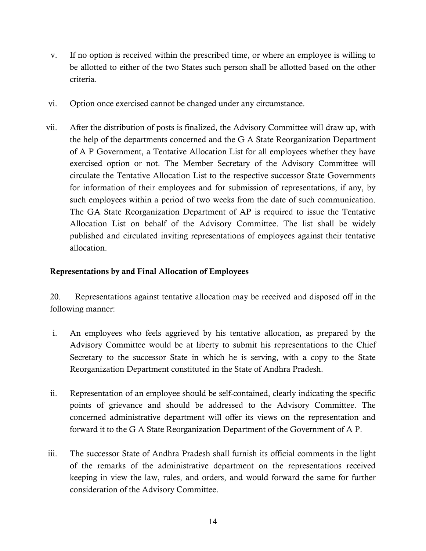- v. If no option is received within the prescribed time, or where an employee is willing to be allotted to either of the two States such person shall be allotted based on the other criteria.
- vi. Option once exercised cannot be changed under any circumstance.
- vii. After the distribution of posts is finalized, the Advisory Committee will draw up, with the help of the departments concerned and the G A State Reorganization Department of A P Government, a Tentative Allocation List for all employees whether they have exercised option or not. The Member Secretary of the Advisory Committee will circulate the Tentative Allocation List to the respective successor State Governments for information of their employees and for submission of representations, if any, by such employees within a period of two weeks from the date of such communication. The GA State Reorganization Department of AP is required to issue the Tentative Allocation List on behalf of the Advisory Committee. The list shall be widely published and circulated inviting representations of employees against their tentative allocation.

### Representations by and Final Allocation of Employees

20. Representations against tentative allocation may be received and disposed off in the following manner:

- i. An employees who feels aggrieved by his tentative allocation, as prepared by the Advisory Committee would be at liberty to submit his representations to the Chief Secretary to the successor State in which he is serving, with a copy to the State Reorganization Department constituted in the State of Andhra Pradesh.
- ii. Representation of an employee should be self-contained, clearly indicating the specific points of grievance and should be addressed to the Advisory Committee. The concerned administrative department will offer its views on the representation and forward it to the G A State Reorganization Department of the Government of A P.
- iii. The successor State of Andhra Pradesh shall furnish its official comments in the light of the remarks of the administrative department on the representations received keeping in view the law, rules, and orders, and would forward the same for further consideration of the Advisory Committee.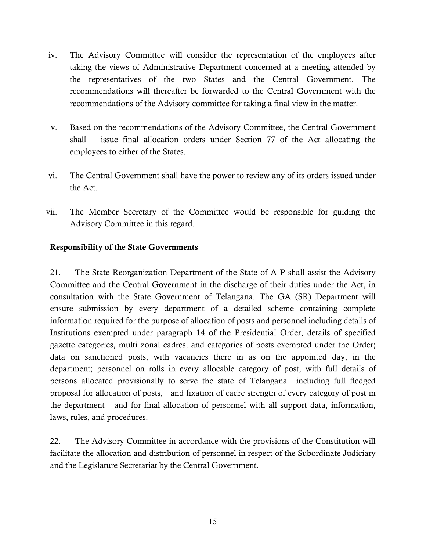- iv. The Advisory Committee will consider the representation of the employees after taking the views of Administrative Department concerned at a meeting attended by the representatives of the two States and the Central Government. The recommendations will thereafter be forwarded to the Central Government with the recommendations of the Advisory committee for taking a final view in the matter.
- v. Based on the recommendations of the Advisory Committee, the Central Government shall issue final allocation orders under Section 77 of the Act allocating the employees to either of the States.
- vi. The Central Government shall have the power to review any of its orders issued under the Act.
- vii. The Member Secretary of the Committee would be responsible for guiding the Advisory Committee in this regard.

### Responsibility of the State Governments

21. The State Reorganization Department of the State of A P shall assist the Advisory Committee and the Central Government in the discharge of their duties under the Act, in consultation with the State Government of Telangana. The GA (SR) Department will ensure submission by every department of a detailed scheme containing complete information required for the purpose of allocation of posts and personnel including details of Institutions exempted under paragraph 14 of the Presidential Order, details of specified gazette categories, multi zonal cadres, and categories of posts exempted under the Order; data on sanctioned posts, with vacancies there in as on the appointed day, in the department; personnel on rolls in every allocable category of post, with full details of persons allocated provisionally to serve the state of Telangana including full fledged proposal for allocation of posts, and fixation of cadre strength of every category of post in the department and for final allocation of personnel with all support data, information, laws, rules, and procedures.

22. The Advisory Committee in accordance with the provisions of the Constitution will facilitate the allocation and distribution of personnel in respect of the Subordinate Judiciary and the Legislature Secretariat by the Central Government.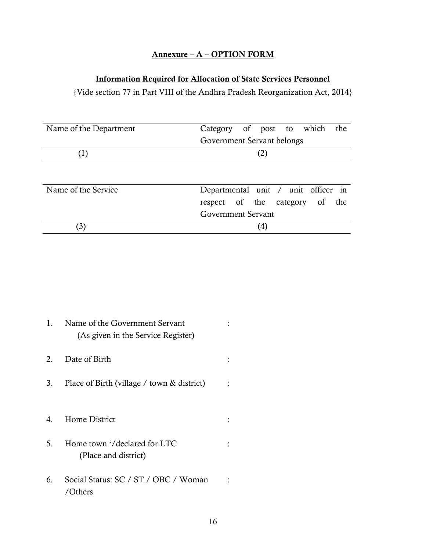### Annexure – A – OPTION FORM

## Information Required for Allocation of State Services Personnel

{Vide section 77 in Part VIII of the Andhra Pradesh Reorganization Act, 2014}

| Name of the Department | the<br>Category of post to which    |
|------------------------|-------------------------------------|
|                        | Government Servant belongs          |
| (1)                    |                                     |
|                        |                                     |
|                        |                                     |
| Name of the Service    | Departmental unit / unit officer in |
|                        | respect of the category of<br>the   |
|                        | Government Servant                  |
|                        | 4                                   |

| 1.          | Name of the Government Servant<br>(As given in the Service Register) |  |
|-------------|----------------------------------------------------------------------|--|
| $2^{\circ}$ | Date of Birth                                                        |  |
| 3.          | Place of Birth (village / town & district)                           |  |
|             |                                                                      |  |
| $4_{\cdot}$ | Home District                                                        |  |
| 5.          | Home town '/declared for LTC<br>(Place and district)                 |  |
| 6.          | Social Status: SC / ST / OBC / Woman<br>/Others                      |  |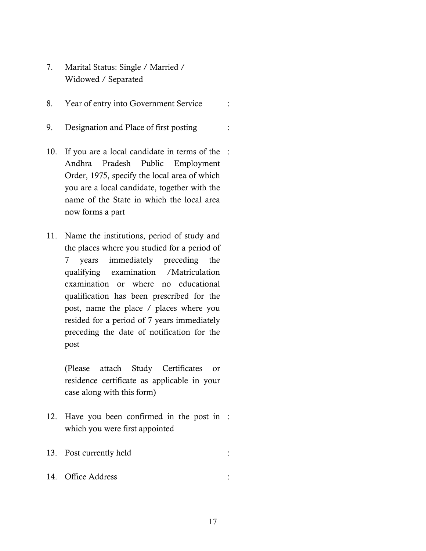- 7. Marital Status: Single / Married / Widowed / Separated
- 8. Year of entry into Government Service :
- 9. Designation and Place of first posting :
- 10. If you are a local candidate in terms of the : Andhra Pradesh Public Employment Order, 1975, specify the local area of which you are a local candidate, together with the name of the State in which the local area now forms a part
- 11. Name the institutions, period of study and the places where you studied for a period of 7 years immediately preceding the qualifying examination /Matriculation examination or where no educational qualification has been prescribed for the post, name the place / places where you resided for a period of 7 years immediately preceding the date of notification for the post

(Please attach Study Certificates or residence certificate as applicable in your case along with this form)

- 12. Have you been confirmed in the post in : which you were first appointed
- 13. Post currently held :
- 14. Office Address :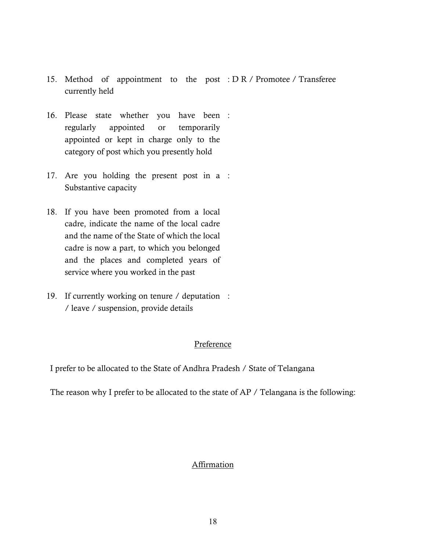- 15. Method of appointment to the post : D R / Promotee / Transferee currently held
- 16. Please state whether you have been : regularly appointed or temporarily appointed or kept in charge only to the category of post which you presently hold
- 17. Are you holding the present post in a : Substantive capacity
- 18. If you have been promoted from a local cadre, indicate the name of the local cadre and the name of the State of which the local cadre is now a part, to which you belonged and the places and completed years of service where you worked in the past
- 19. If currently working on tenure / deputation : / leave / suspension, provide details

#### Preference

I prefer to be allocated to the State of Andhra Pradesh / State of Telangana

The reason why I prefer to be allocated to the state of AP / Telangana is the following:

#### Affirmation